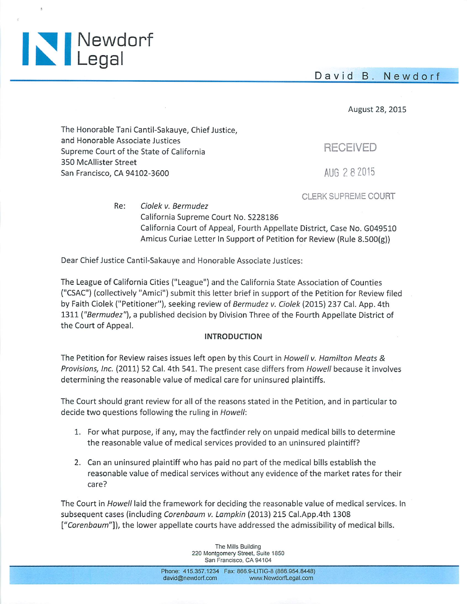David B. Newdorf



August 28, 2015

The Honorable Tani Cantil-Sakauye, Chief Justice, and Honorable Associate Justices Supreme Court of the State of California 350 McAllister Street San Francisco, CA 94102-3600

AUG 2 8 2015

**RECEIVED** 

CLERK SUPREME COURT

Re: Ciolek v. Bermudez California Supreme Court No. S228186 California Court of Appeal, Fourth Appellate District, Case No. G049510 Amicus Curiae Letter In Support of Petition for Review (Rule 8.500(g))

Dear Chief Justice Cantil-Sakauye and Honorable Associate Justices:

The League of California Cities ("League") and the California State Association of Counties ("CSAC") (collectively "Amici") submit this letter brief in support of the Petition for Review filed by Faith Ciolek ("Petitioner"), seeking review of Bermudez v. Ciolek (2015) 237 Cal. App. 4th 1311 ("Bermudez"), a published decision by Division Three of the Fourth Appellate District of the Court of Appeal.

#### **INTRODUCTION**

The Petition for Review raises issues left open by this Court in Howell v. Hamilton Meats & Provisions, Inc. (2011) 52 Cal. 4th 541. The present case differs from Howell because it involves determining the reasonable value of medical care for uninsured plaintiffs.

The Court should grant review for all of the reasons stated in the Petition, and in particular to decide two questions following the ruling in Howell:

- 1. For what purpose, if any, may the factfinder rely on unpaid medical bills to determine the reasonable value of medical services provided to an uninsured plaintiff?
- 2. Can an uninsured plaintiff who has paid no part of the medical bills establish the reasonable value of medical services without any evidence of the market rates for their care?

The Court in Howell laid the framework for deciding the reasonable value of medical services. In subsequent cases (including Corenbaum v. Lampkin (2013) 215 Cal.App.4th 1308 ["Corenbaum"]), the lower appellate courts have addressed the admissibility of medical bills.

> The Mills Building 220 Montgomery Street, Suite 1850 San Francisco, CA 94104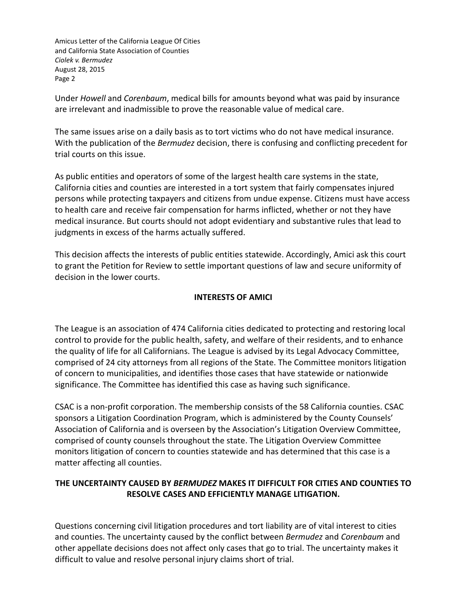Under *Howell* and *Corenbaum*, medical bills for amounts beyond what was paid by insurance are irrelevant and inadmissible to prove the reasonable value of medical care.

The same issues arise on a daily basis as to tort victims who do not have medical insurance. With the publication of the *Bermudez* decision, there is confusing and conflicting precedent for trial courts on this issue.

As public entities and operators of some of the largest health care systems in the state, California cities and counties are interested in a tort system that fairly compensates injured persons while protecting taxpayers and citizens from undue expense. Citizens must have access to health care and receive fair compensation for harms inflicted, whether or not they have medical insurance. But courts should not adopt evidentiary and substantive rules that lead to judgments in excess of the harms actually suffered.

This decision affects the interests of public entities statewide. Accordingly, Amici ask this court to grant the Petition for Review to settle important questions of law and secure uniformity of decision in the lower courts.

### **INTERESTS OF AMICI**

The League is an association of 474 California cities dedicated to protecting and restoring local control to provide for the public health, safety, and welfare of their residents, and to enhance the quality of life for all Californians. The League is advised by its Legal Advocacy Committee, comprised of 24 city attorneys from all regions of the State. The Committee monitors litigation of concern to municipalities, and identifies those cases that have statewide or nationwide significance. The Committee has identified this case as having such significance.

CSAC is a non-profit corporation. The membership consists of the 58 California counties. CSAC sponsors a Litigation Coordination Program, which is administered by the County Counsels' Association of California and is overseen by the Association's Litigation Overview Committee, comprised of county counsels throughout the state. The Litigation Overview Committee monitors litigation of concern to counties statewide and has determined that this case is a matter affecting all counties.

# **THE UNCERTAINTY CAUSED BY** *BERMUDEZ* **MAKES IT DIFFICULT FOR CITIES AND COUNTIES TO RESOLVE CASES AND EFFICIENTLY MANAGE LITIGATION.**

Questions concerning civil litigation procedures and tort liability are of vital interest to cities and counties. The uncertainty caused by the conflict between *Bermudez* and *Corenbaum* and other appellate decisions does not affect only cases that go to trial. The uncertainty makes it difficult to value and resolve personal injury claims short of trial.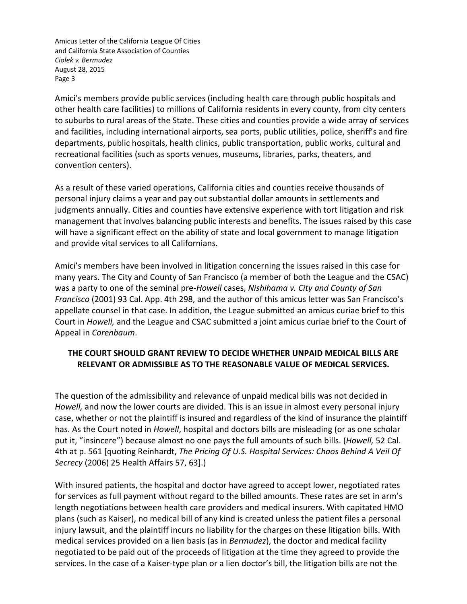Amici's members provide public services (including health care through public hospitals and other health care facilities) to millions of California residents in every county, from city centers to suburbs to rural areas of the State. These cities and counties provide a wide array of services and facilities, including international airports, sea ports, public utilities, police, sheriff's and fire departments, public hospitals, health clinics, public transportation, public works, cultural and recreational facilities (such as sports venues, museums, libraries, parks, theaters, and convention centers).

As a result of these varied operations, California cities and counties receive thousands of personal injury claims a year and pay out substantial dollar amounts in settlements and judgments annually. Cities and counties have extensive experience with tort litigation and risk management that involves balancing public interests and benefits. The issues raised by this case will have a significant effect on the ability of state and local government to manage litigation and provide vital services to all Californians.

Amici's members have been involved in litigation concerning the issues raised in this case for many years. The City and County of San Francisco (a member of both the League and the CSAC) was a party to one of the seminal pre-*Howell* cases, *Nishihama v. City and County of San Francisco* (2001) 93 Cal. App. 4th 298, and the author of this amicus letter was San Francisco's appellate counsel in that case. In addition, the League submitted an amicus curiae brief to this Court in *Howell,* and the League and CSAC submitted a joint amicus curiae brief to the Court of Appeal in *Corenbaum*.

# **THE COURT SHOULD GRANT REVIEW TO DECIDE WHETHER UNPAID MEDICAL BILLS ARE RELEVANT OR ADMISSIBLE AS TO THE REASONABLE VALUE OF MEDICAL SERVICES.**

The question of the admissibility and relevance of unpaid medical bills was not decided in *Howell,* and now the lower courts are divided. This is an issue in almost every personal injury case, whether or not the plaintiff is insured and regardless of the kind of insurance the plaintiff has. As the Court noted in *Howell*, hospital and doctors bills are misleading (or as one scholar put it, "insincere") because almost no one pays the full amounts of such bills. (*Howell,* 52 Cal. 4th at p. 561 [quoting Reinhardt, *The Pricing Of U.S. Hospital Services: Chaos Behind A Veil Of Secrecy* (2006) 25 Health Affairs 57, 63].)

With insured patients, the hospital and doctor have agreed to accept lower, negotiated rates for services as full payment without regard to the billed amounts. These rates are set in arm's length negotiations between health care providers and medical insurers. With capitated HMO plans (such as Kaiser), no medical bill of any kind is created unless the patient files a personal injury lawsuit, and the plaintiff incurs no liability for the charges on these litigation bills. With medical services provided on a lien basis (as in *Bermudez*), the doctor and medical facility negotiated to be paid out of the proceeds of litigation at the time they agreed to provide the services. In the case of a Kaiser-type plan or a lien doctor's bill, the litigation bills are not the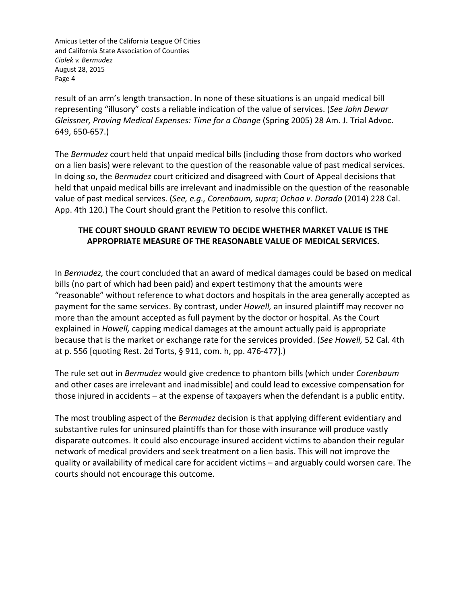result of an arm's length transaction. In none of these situations is an unpaid medical bill representing "illusory" costs a reliable indication of the value of services. (*See John Dewar Gleissner, Proving Medical Expenses: Time for a Change* (Spring 2005) 28 Am. J. Trial Advoc. 649, 650-657.)

The *Bermudez* court held that unpaid medical bills (including those from doctors who worked on a lien basis) were relevant to the question of the reasonable value of past medical services. In doing so, the *Bermudez* court criticized and disagreed with Court of Appeal decisions that held that unpaid medical bills are irrelevant and inadmissible on the question of the reasonable value of past medical services. (*See, e.g., Corenbaum, supra*; *Ochoa v. Dorado* (2014) 228 Cal. App. 4th 120*.*) The Court should grant the Petition to resolve this conflict.

# **THE COURT SHOULD GRANT REVIEW TO DECIDE WHETHER MARKET VALUE IS THE APPROPRIATE MEASURE OF THE REASONABLE VALUE OF MEDICAL SERVICES.**

In *Bermudez,* the court concluded that an award of medical damages could be based on medical bills (no part of which had been paid) and expert testimony that the amounts were "reasonable" without reference to what doctors and hospitals in the area generally accepted as payment for the same services. By contrast, under *Howell,* an insured plaintiff may recover no more than the amount accepted as full payment by the doctor or hospital. As the Court explained in *Howell,* capping medical damages at the amount actually paid is appropriate because that is the market or exchange rate for the services provided. (*See Howell,* 52 Cal. 4th at p. 556 [quoting Rest. 2d Torts, § 911, com. h, pp. 476-477].)

The rule set out in *Bermudez* would give credence to phantom bills (which under *Corenbaum*  and other cases are irrelevant and inadmissible) and could lead to excessive compensation for those injured in accidents – at the expense of taxpayers when the defendant is a public entity.

The most troubling aspect of the *Bermudez* decision is that applying different evidentiary and substantive rules for uninsured plaintiffs than for those with insurance will produce vastly disparate outcomes. It could also encourage insured accident victims to abandon their regular network of medical providers and seek treatment on a lien basis. This will not improve the quality or availability of medical care for accident victims – and arguably could worsen care. The courts should not encourage this outcome.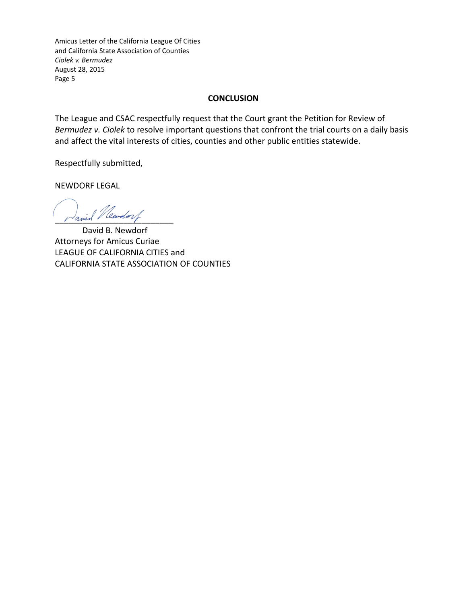### **CONCLUSION**

The League and CSAC respectfully request that the Court grant the Petition for Review of *Bermudez v. Ciolek* to resolve important questions that confront the trial courts on a daily basis and affect the vital interests of cities, counties and other public entities statewide.

Respectfully submitted,

NEWDORF LEGAL

Javid Newdorf

David B. Newdorf Attorneys for Amicus Curiae LEAGUE OF CALIFORNIA CITIES and CALIFORNIA STATE ASSOCIATION OF COUNTIES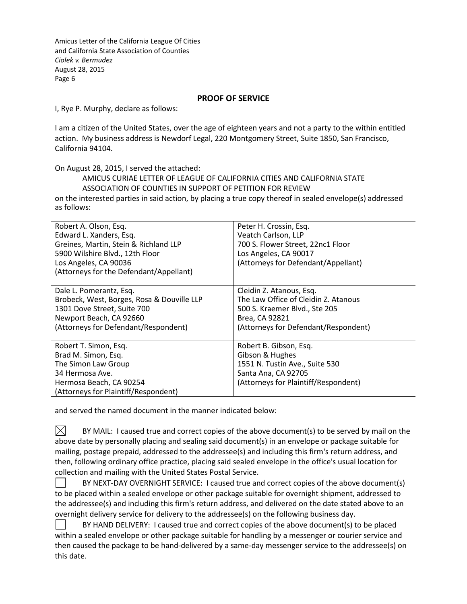#### **PROOF OF SERVICE**

I, Rye P. Murphy, declare as follows:

I am a citizen of the United States, over the age of eighteen years and not a party to the within entitled action. My business address is Newdorf Legal, 220 Montgomery Street, Suite 1850, San Francisco, California 94104.

On August 28, 2015, I served the attached:

#### AMICUS CURIAE LETTER OF LEAGUE OF CALIFORNIA CITIES AND CALIFORNIA STATE ASSOCIATION OF COUNTIES IN SUPPORT OF PETITION FOR REVIEW

on the interested parties in said action, by placing a true copy thereof in sealed envelope(s) addressed as follows:

| Robert A. Olson, Esq.<br>Edward L. Xanders, Esq.<br>Greines, Martin, Stein & Richland LLP<br>5900 Wilshire Blvd., 12th Floor<br>Los Angeles, CA 90036<br>(Attorneys for the Defendant/Appellant) | Peter H. Crossin, Esq.<br>Veatch Carlson, LLP<br>700 S. Flower Street, 22nc1 Floor<br>Los Angeles, CA 90017<br>(Attorneys for Defendant/Appellant)          |
|--------------------------------------------------------------------------------------------------------------------------------------------------------------------------------------------------|-------------------------------------------------------------------------------------------------------------------------------------------------------------|
| Dale L. Pomerantz, Esq.<br>Brobeck, West, Borges, Rosa & Douville LLP<br>1301 Dove Street, Suite 700<br>Newport Beach, CA 92660<br>(Attorneys for Defendant/Respondent)                          | Cleidin Z. Atanous, Esq.<br>The Law Office of Cleidin Z. Atanous<br>500 S. Kraemer Blvd., Ste 205<br>Brea, CA 92821<br>(Attorneys for Defendant/Respondent) |
| Robert T. Simon, Esq.<br>Brad M. Simon, Esq.<br>The Simon Law Group<br>34 Hermosa Ave.<br>Hermosa Beach, CA 90254<br>(Attorneys for Plaintiff/Respondent)                                        | Robert B. Gibson, Esq.<br>Gibson & Hughes<br>1551 N. Tustin Ave., Suite 530<br>Santa Ana, CA 92705<br>(Attorneys for Plaintiff/Respondent)                  |

and served the named document in the manner indicated below:

 $\bowtie$ BY MAIL: I caused true and correct copies of the above document(s) to be served by mail on the above date by personally placing and sealing said document(s) in an envelope or package suitable for mailing, postage prepaid, addressed to the addressee(s) and including this firm's return address, and then, following ordinary office practice, placing said sealed envelope in the office's usual location for collection and mailing with the United States Postal Service.

BY NEXT-DAY OVERNIGHT SERVICE: I caused true and correct copies of the above document(s)  $\blacksquare$ to be placed within a sealed envelope or other package suitable for overnight shipment, addressed to the addressee(s) and including this firm's return address, and delivered on the date stated above to an overnight delivery service for delivery to the addressee(s) on the following business day.

BY HAND DELIVERY: I caused true and correct copies of the above document(s) to be placed within a sealed envelope or other package suitable for handling by a messenger or courier service and then caused the package to be hand-delivered by a same-day messenger service to the addressee(s) on this date.